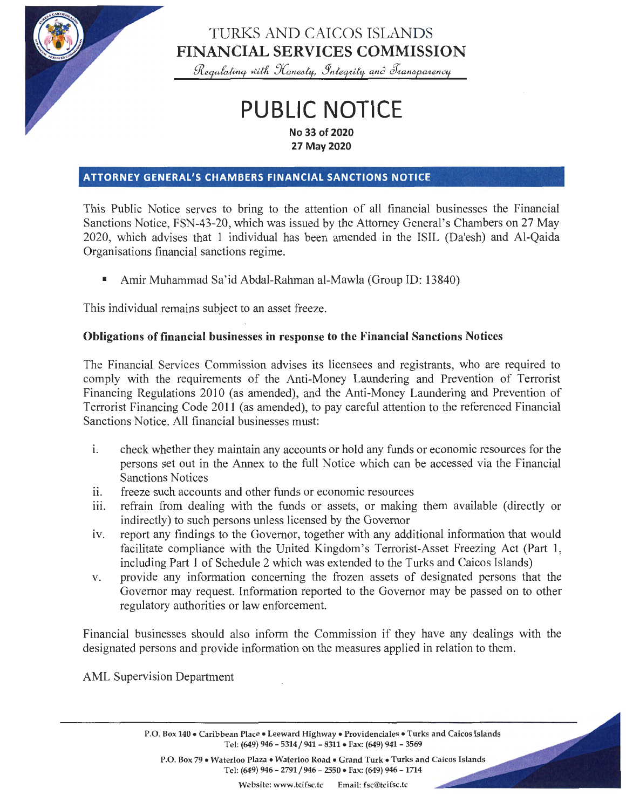

## TURKS AND CAICOS ISLANDS **FINANCIAL SERVICES COMMISSION**

 $R$ equlating with Honesty, Integrity and *Iransparency* 

# **PUBLIC NOTICE**

**No 33 of 2020 27 May 2020** 

#### **ATTORNEY GENERAL'S CHAMBERS FINANCIAL SANCTIONS NOTICE**

This Public Notice serves to bring to the attention of all financial businesses the Financial Sanctions Notice, FSN-43-20, which was issued by the Attorney General's Chambers on 27 May 2020, which advises that 1 individual has been amended in the ISIL (Da'esh) and Al-Qaida Organisations financial sanctions regime.

• Amir Muhammad Sa'id Abdal-Rahman al-Mawla (Group 10: 13840)

This individual remains subject to an asset freeze.

#### **Obligations of financial businesses in response to the Financial Sanctions Notices**

The Financial Services Commission advises its licensees and registrants, who are required to comply with the requirements of the Anti-Money Laundering and Prevention of Terrorist Financing Regulations 2010 (as amended), and the Anti-Money Laundering and Prevention of Terrorist Financing Code 2011 (as amended), to pay careful attention to the referenced Financial Sanctions Notice. All financial businesses must:

- 1. check whether they maintain any accounts or hold any funds or economic resources for the persons set out in the Annex to the full Notice which can be accessed via the Financial Sanctions Notices
- ii. freeze such accounts and other funds or economic resources
- iii. refrain from dealing with the funds or assets, or making them available (directly or indirectly) to such persons unless licensed by the Governor
- iv. report any findings to the Governor, together with any additional information that would facilitate compliance with the United Kingdom's Terrorist-Asset Freezing Act (Part 1, including Part 1 of Schedule 2 which was extended to the Turks and Caicos Islands)
- v. provide any information concerning the frozen assets of designated persons that the Governor may request. Information reported to the Governor may be passed on to other regulatory authorities or law enforcement.

Financial businesses should also inform the Commission if they have any dealings with the designated persons and provide information on the measures applied in relation to them.

AML Supervision Department

P.O. Box 140 • Caribbean Place • Leeward Highway • Providenciales • Turks and Caicos Islands Tel: (649) 946- 5314/941- 8311• Fax: (649) 941- 3569

P.O. Box 79 • Waterloo Plaza • Waterloo Road • Grand Turk • Turks and Caicos Islands Tel: (649) 946- 2791/946- 2550 • Fax: (649) 946 - 1714